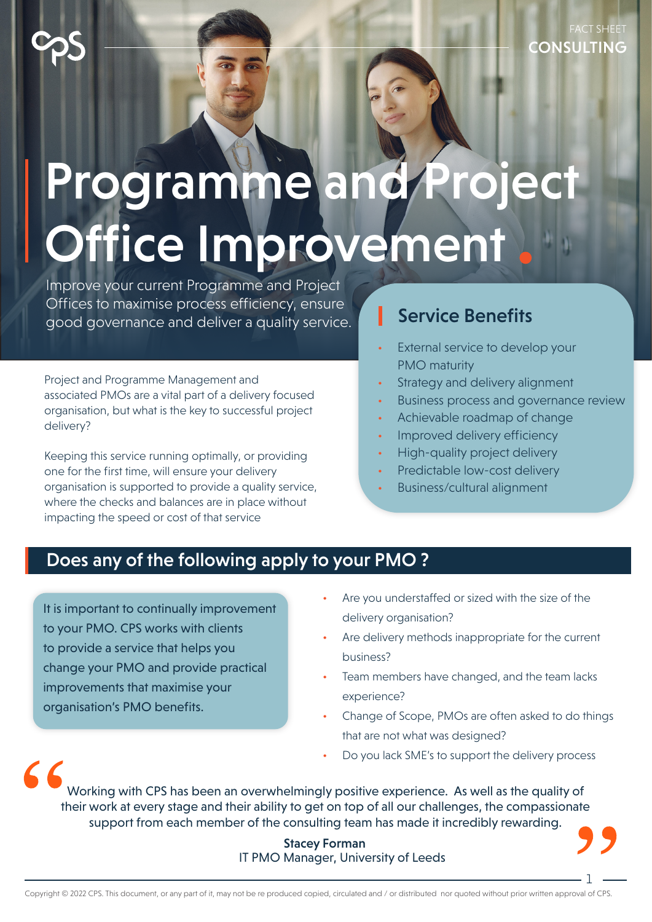# Programme and Project Office Improvement

Improve your current Programme and Project Offices to maximise process efficiency, ensure good governance and deliver a quality service.

Project and Programme Management and associated PMOs are a vital part of a delivery focused organisation, but what is the key to successful project delivery?

Keeping this service running optimally, or providing one for the first time, will ensure your delivery organisation is supported to provide a quality service, where the checks and balances are in place without impacting the speed or cost of that service

### Service Benefits

- External service to develop your PMO maturity
- Strategy and delivery alignment
- Business process and governance review
- Achievable roadmap of change
- Improved delivery efficiency
- High-quality project delivery
- Predictable low-cost delivery
- Business/cultural alignment

## Does any of the following apply to your PMO?

It is important to continually improvement to your PMO. CPS works with clients to provide a service that helps you change your PMO and provide practical improvements that maximise your organisation's PMO benefits.

- Are you understaffed or sized with the size of the delivery organisation?
- Are delivery methods inappropriate for the current business?
- Team members have changed, and the team lacks experience?
- Change of Scope, PMOs are often asked to do things that are not what was designed?

1

• Do you lack SME's to support the delivery process

 $66$ Working with CPS has been an overwhelmingly positive experience. As well as the quality of their work at every stage and their ability to get on top of all our challenges, the compassionate support from each member of the consulting team has made it incredibly rewarding.

> Stacey Forman IT PMO Manager, University of Leeds